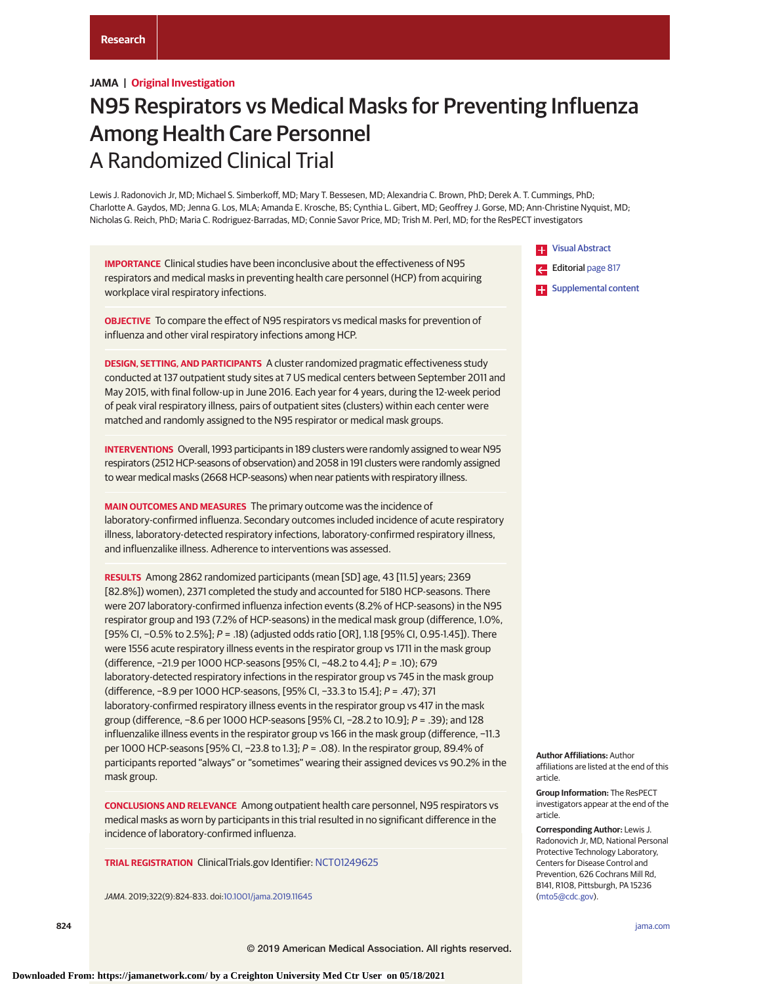# **JAMA | Original Investigation**

# N95 Respirators vs Medical Masks for Preventing Influenza Among Health Care Personnel A Randomized Clinical Trial

Lewis J. Radonovich Jr, MD; Michael S. Simberkoff, MD; Mary T. Bessesen, MD; Alexandria C. Brown, PhD; Derek A. T. Cummings, PhD; Charlotte A. Gaydos, MD; Jenna G. Los, MLA; Amanda E. Krosche, BS; Cynthia L. Gibert, MD; Geoffrey J. Gorse, MD; Ann-Christine Nyquist, MD; Nicholas G. Reich, PhD; Maria C. Rodriguez-Barradas, MD; Connie Savor Price, MD; Trish M. Perl, MD; for the ResPECT investigators

**IMPORTANCE** Clinical studies have been inconclusive about the effectiveness of N95 respirators and medical masks in preventing health care personnel (HCP) from acquiring workplace viral respiratory infections.

**OBJECTIVE** To compare the effect of N95 respirators vs medical masks for prevention of influenza and other viral respiratory infections among HCP.

**DESIGN, SETTING, AND PARTICIPANTS** A cluster randomized pragmatic effectiveness study conducted at 137 outpatient study sites at 7 US medical centers between September 2011 and May 2015, with final follow-up in June 2016. Each year for 4 years, during the 12-week period of peak viral respiratory illness, pairs of outpatient sites (clusters) within each center were matched and randomly assigned to the N95 respirator or medical mask groups.

**INTERVENTIONS** Overall, 1993 participants in 189 clusters were randomly assigned to wear N95 respirators (2512 HCP-seasons of observation) and 2058 in 191 clusters were randomly assigned to wear medical masks (2668 HCP-seasons) when near patients with respiratory illness.

**MAIN OUTCOMES AND MEASURES** The primary outcome was the incidence of laboratory-confirmed influenza. Secondary outcomes included incidence of acute respiratory illness, laboratory-detected respiratory infections, laboratory-confirmed respiratory illness, and influenzalike illness. Adherence to interventions was assessed.

**RESULTS** Among 2862 randomized participants (mean [SD] age, 43 [11.5] years; 2369 [82.8%]) women), 2371 completed the study and accounted for 5180 HCP-seasons. There were 207 laboratory-confirmed influenza infection events (8.2% of HCP-seasons) in the N95 respirator group and 193 (7.2% of HCP-seasons) in the medical mask group (difference, 1.0%, [95% CI, -0.5% to 2.5%]; P = .18) (adjusted odds ratio [OR], 1.18 [95% CI, 0.95-1.45]). There were 1556 acute respiratory illness events in the respirator group vs 1711 in the mask group (difference, −21.9 per 1000 HCP-seasons [95% CI, −48.2 to 4.4]; P = .10); 679 laboratory-detected respiratory infections in the respirator group vs 745 in the mask group (difference, −8.9 per 1000 HCP-seasons, [95% CI, −33.3 to 15.4]; P = .47); 371 laboratory-confirmed respiratory illness events in the respirator group vs 417 in the mask group (difference, −8.6 per 1000 HCP-seasons [95% CI, −28.2 to 10.9]; P = .39); and 128 influenzalike illness events in the respirator group vs 166 in the mask group (difference, −11.3 per 1000 HCP-seasons [95% CI, −23.8 to 1.3]; P = .08). In the respirator group, 89.4% of participants reported "always" or "sometimes" wearing their assigned devices vs 90.2% in the mask group.

**CONCLUSIONS AND RELEVANCE** Among outpatient health care personnel, N95 respirators vs medical masks as worn by participants in this trial resulted in no significant difference in the incidence of laboratory-confirmed influenza.

**TRIAL REGISTRATION** ClinicalTrials.gov Identifier: [NCT01249625](https://clinicaltrials.gov/ct2/show/NCT01249625)

JAMA. 2019;322(9):824-833. doi[:10.1001/jama.2019.11645](https://jama.jamanetwork.com/article.aspx?doi=10.1001/jama.2019.11645&utm_campaign=articlePDF%26utm_medium=articlePDFlink%26utm_source=articlePDF%26utm_content=jama.2019.11645)

**TH** [Visual Abstract](https://jama.jamanetwork.com/article.aspx?doi=10.1001/jama.2019.11645&utm_campaign=articlePDF%26utm_medium=articlePDFlink%26utm_source=articlePDF%26utm_content=jama.2019.11645) Editorial [page 817](https://jama.jamanetwork.com/article.aspx?doi=10.1001/jama.2019.11644&utm_campaign=articlePDF%26utm_medium=articlePDFlink%26utm_source=articlePDF%26utm_content=jama.2019.11645)

**Examplemental content** 

**Author Affiliations:** Author affiliations are listed at the end of this article.

**Group Information:** The ResPECT investigators appear at the end of the article.

**Corresponding Author:** Lewis J. Radonovich Jr, MD, National Personal Protective Technology Laboratory, Centers for Disease Control and Prevention, 626 Cochrans Mill Rd, B141, R108, Pittsburgh, PA 15236 [\(mto5@cdc.gov\)](mailto:mto5@cdc.gov).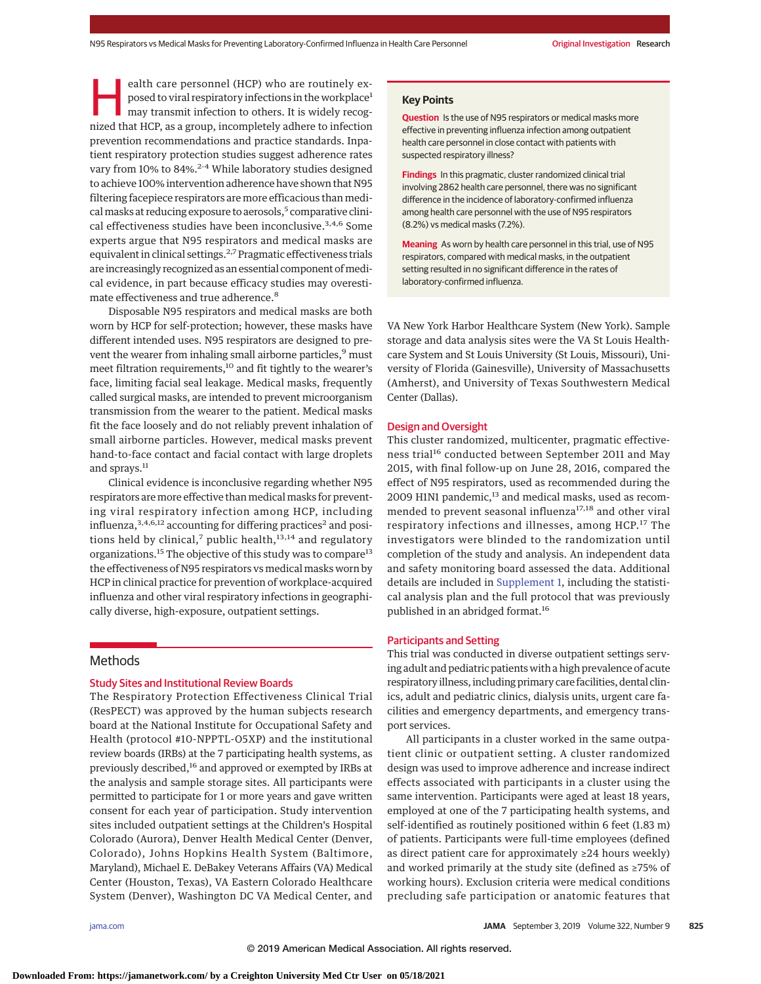ealth care personnel (HCP) who are routinely exposed to viral respiratory infections in the workplace<sup>1</sup> may transmit infection to others. It is widely recognized that HCP, as a group, incompletely adhere to infection prevention recommendations and practice standards. Inpatient respiratory protection studies suggest adherence rates vary from 10% to 84%.<sup>2-4</sup> While laboratory studies designed to achieve 100% intervention adherence have shown that N95 filtering facepiece respirators are more efficacious than medical masks at reducing exposure to aerosols,<sup>5</sup> comparative clinical effectiveness studies have been inconclusive.<sup>3,4,6</sup> Some experts argue that N95 respirators and medical masks are equivalent in clinical settings.<sup>2,7</sup> Pragmatic effectiveness trials are increasingly recognized as an essential component of medical evidence, in part because efficacy studies may overestimate effectiveness and true adherence.<sup>8</sup>

Disposable N95 respirators and medical masks are both worn by HCP for self-protection; however, these masks have different intended uses. N95 respirators are designed to prevent the wearer from inhaling small airborne particles,<sup>9</sup> must meet filtration requirements,<sup>10</sup> and fit tightly to the wearer's face, limiting facial seal leakage. Medical masks, frequently called surgical masks, are intended to prevent microorganism transmission from the wearer to the patient. Medical masks fit the face loosely and do not reliably prevent inhalation of small airborne particles. However, medical masks prevent hand-to-face contact and facial contact with large droplets and sprays.<sup>11</sup>

Clinical evidence is inconclusive regarding whether N95 respirators are more effective than medical masks for preventing viral respiratory infection among HCP, including influenza,  $3,4,6,12$  accounting for differing practices<sup>2</sup> and positions held by clinical,<sup>7</sup> public health, $13,14$  and regulatory organizations.<sup>15</sup> The objective of this study was to compare<sup>13</sup> the effectiveness of N95 respirators vs medical masks worn by HCP in clinical practice for prevention of workplace-acquired influenza and other viral respiratory infections in geographically diverse, high-exposure, outpatient settings.

# **Methods**

## Study Sites and Institutional Review Boards

The Respiratory Protection Effectiveness Clinical Trial (ResPECT) was approved by the human subjects research board at the National Institute for Occupational Safety and Health (protocol #10-NPPTL-O5XP) and the institutional review boards (IRBs) at the 7 participating health systems, as previously described,16 and approved or exempted by IRBs at the analysis and sample storage sites. All participants were permitted to participate for 1 or more years and gave written consent for each year of participation. Study intervention sites included outpatient settings at the Children's Hospital Colorado (Aurora), Denver Health Medical Center (Denver, Colorado), Johns Hopkins Health System (Baltimore, Maryland), Michael E. DeBakey Veterans Affairs (VA) Medical Center (Houston, Texas), VA Eastern Colorado Healthcare System (Denver), Washington DC VA Medical Center, and

# **Key Points**

**Question** Is the use of N95 respirators or medical masks more effective in preventing influenza infection among outpatient health care personnel in close contact with patients with suspected respiratory illness?

**Findings** In this pragmatic, cluster randomized clinical trial involving 2862 health care personnel, there was no significant difference in the incidence of laboratory-confirmed influenza among health care personnel with the use of N95 respirators (8.2%) vs medical masks (7.2%).

**Meaning** As worn by health care personnel in this trial, use of N95 respirators, compared with medical masks, in the outpatient setting resulted in no significant difference in the rates of laboratory-confirmed influenza.

VA New York Harbor Healthcare System (New York). Sample storage and data analysis sites were the VA St Louis Healthcare System and St Louis University (St Louis, Missouri), University of Florida (Gainesville), University of Massachusetts (Amherst), and University of Texas Southwestern Medical Center (Dallas).

## Design and Oversight

This cluster randomized, multicenter, pragmatic effectiveness trial<sup>16</sup> conducted between September 2011 and May 2015, with final follow-up on June 28, 2016, compared the effect of N95 respirators, used as recommended during the 2009 H1N1 pandemic,<sup>13</sup> and medical masks, used as recommended to prevent seasonal influenza<sup>17,18</sup> and other viral respiratory infections and illnesses, among HCP.<sup>17</sup> The investigators were blinded to the randomization until completion of the study and analysis. An independent data and safety monitoring board assessed the data. Additional details are included in [Supplement 1,](https://jama.jamanetwork.com/article.aspx?doi=10.1001/jama.2019.11645&utm_campaign=articlePDF%26utm_medium=articlePDFlink%26utm_source=articlePDF%26utm_content=jama.2019.11645) including the statistical analysis plan and the full protocol that was previously published in an abridged format.<sup>16</sup>

# Participants and Setting

This trial was conducted in diverse outpatient settings serving adult and pediatric patients with a high prevalence of acute respiratory illness, including primary care facilities, dental clinics, adult and pediatric clinics, dialysis units, urgent care facilities and emergency departments, and emergency transport services.

All participants in a cluster worked in the same outpatient clinic or outpatient setting. A cluster randomized design was used to improve adherence and increase indirect effects associated with participants in a cluster using the same intervention. Participants were aged at least 18 years, employed at one of the 7 participating health systems, and self-identified as routinely positioned within 6 feet (1.83 m) of patients. Participants were full-time employees (defined as direct patient care for approximately ≥24 hours weekly) and worked primarily at the study site (defined as ≥75% of working hours). Exclusion criteria were medical conditions precluding safe participation or anatomic features that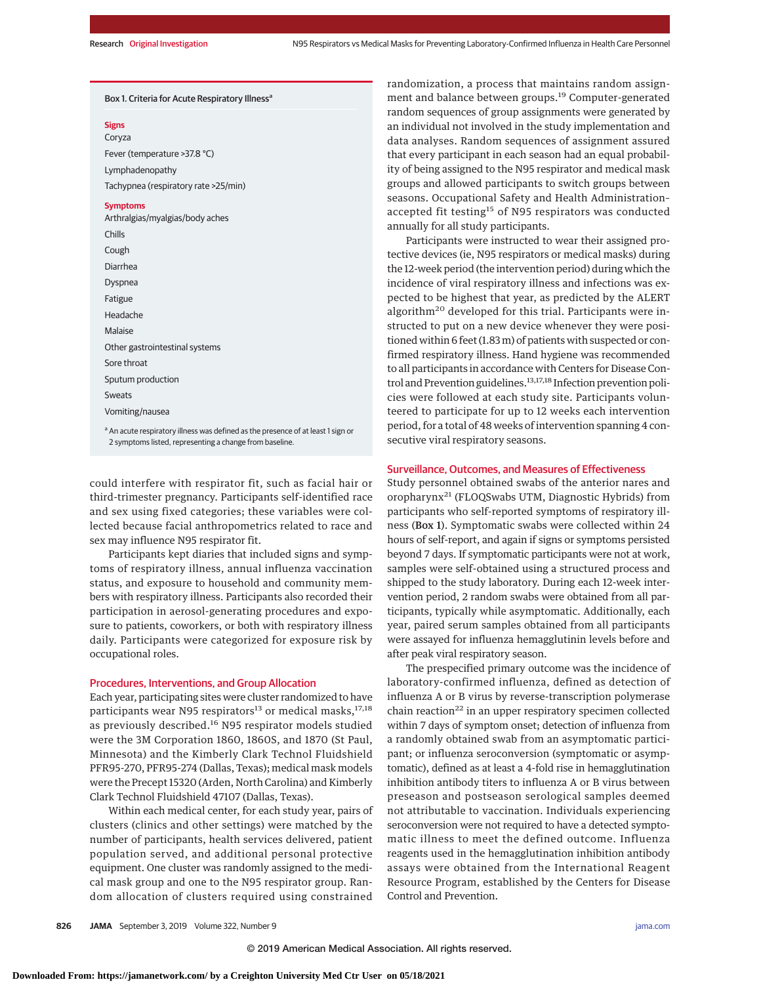#### Box 1. Criteria for Acute Respiratory Illness<sup>a</sup>

#### **Signs** Coryza

Fever (temperature >37.8 °C) Lymphadenopathy Tachypnea (respiratory rate >25/min)

#### **Symptoms**

Arthralgias/myalgias/body aches Chills Cough Diarrhea Dyspnea Fatigue Headache Malaise Other gastrointestinal systems Sore throat Sputum production Sweats Vomiting/nausea

a An acute respiratory illness was defined as the presence of at least 1 sign or 2 symptoms listed, representing a change from baseline.

could interfere with respirator fit, such as facial hair or third-trimester pregnancy. Participants self-identified race and sex using fixed categories; these variables were collected because facial anthropometrics related to race and sex may influence N95 respirator fit.

Participants kept diaries that included signs and symptoms of respiratory illness, annual influenza vaccination status, and exposure to household and community members with respiratory illness. Participants also recorded their participation in aerosol-generating procedures and exposure to patients, coworkers, or both with respiratory illness daily. Participants were categorized for exposure risk by occupational roles.

# Procedures, Interventions, and Group Allocation

Each year, participating sites were cluster randomized to have participants wear N95 respirators<sup>13</sup> or medical masks,<sup>17,18</sup> as previously described.<sup>16</sup> N95 respirator models studied were the 3M Corporation 1860, 1860S, and 1870 (St Paul, Minnesota) and the Kimberly Clark Technol Fluidshield PFR95-270, PFR95-274 (Dallas, Texas); medical mask models were the Precept 15320 (Arden, North Carolina) and Kimberly Clark Technol Fluidshield 47107 (Dallas, Texas).

Within each medical center, for each study year, pairs of clusters (clinics and other settings) were matched by the number of participants, health services delivered, patient population served, and additional personal protective equipment. One cluster was randomly assigned to the medical mask group and one to the N95 respirator group. Random allocation of clusters required using constrained

randomization, a process that maintains random assignment and balance between groups.<sup>19</sup> Computer-generated random sequences of group assignments were generated by an individual not involved in the study implementation and data analyses. Random sequences of assignment assured that every participant in each season had an equal probability of being assigned to the N95 respirator and medical mask groups and allowed participants to switch groups between seasons. Occupational Safety and Health Administration– accepted fit testing<sup>15</sup> of N95 respirators was conducted annually for all study participants.

Participants were instructed to wear their assigned protective devices (ie, N95 respirators or medical masks) during the 12-week period (the intervention period) during which the incidence of viral respiratory illness and infections was expected to be highest that year, as predicted by the ALERT algorithm<sup>20</sup> developed for this trial. Participants were instructed to put on a new device whenever they were positioned within 6 feet (1.83 m) of patients with suspected or confirmed respiratory illness. Hand hygiene was recommended to all participants in accordance with Centers for Disease Control and Prevention guidelines.<sup>13,17,18</sup> Infection prevention policies were followed at each study site. Participants volunteered to participate for up to 12 weeks each intervention period, for a total of 48 weeks of intervention spanning 4 consecutive viral respiratory seasons.

## Surveillance, Outcomes, and Measures of Effectiveness

Study personnel obtained swabs of the anterior nares and oropharynx<sup>21</sup> (FLOQSwabs UTM, Diagnostic Hybrids) from participants who self-reported symptoms of respiratory illness (Box 1). Symptomatic swabs were collected within 24 hours of self-report, and again if signs or symptoms persisted beyond 7 days. If symptomatic participants were not at work, samples were self-obtained using a structured process and shipped to the study laboratory. During each 12-week intervention period, 2 random swabs were obtained from all participants, typically while asymptomatic. Additionally, each year, paired serum samples obtained from all participants were assayed for influenza hemagglutinin levels before and after peak viral respiratory season.

The prespecified primary outcome was the incidence of laboratory-confirmed influenza, defined as detection of influenza A or B virus by reverse-transcription polymerase chain reaction $^{22}$  in an upper respiratory specimen collected within 7 days of symptom onset; detection of influenza from a randomly obtained swab from an asymptomatic participant; or influenza seroconversion (symptomatic or asymptomatic), defined as at least a 4-fold rise in hemagglutination inhibition antibody titers to influenza A or B virus between preseason and postseason serological samples deemed not attributable to vaccination. Individuals experiencing seroconversion were not required to have a detected symptomatic illness to meet the defined outcome. Influenza reagents used in the hemagglutination inhibition antibody assays were obtained from the International Reagent Resource Program, established by the Centers for Disease Control and Prevention.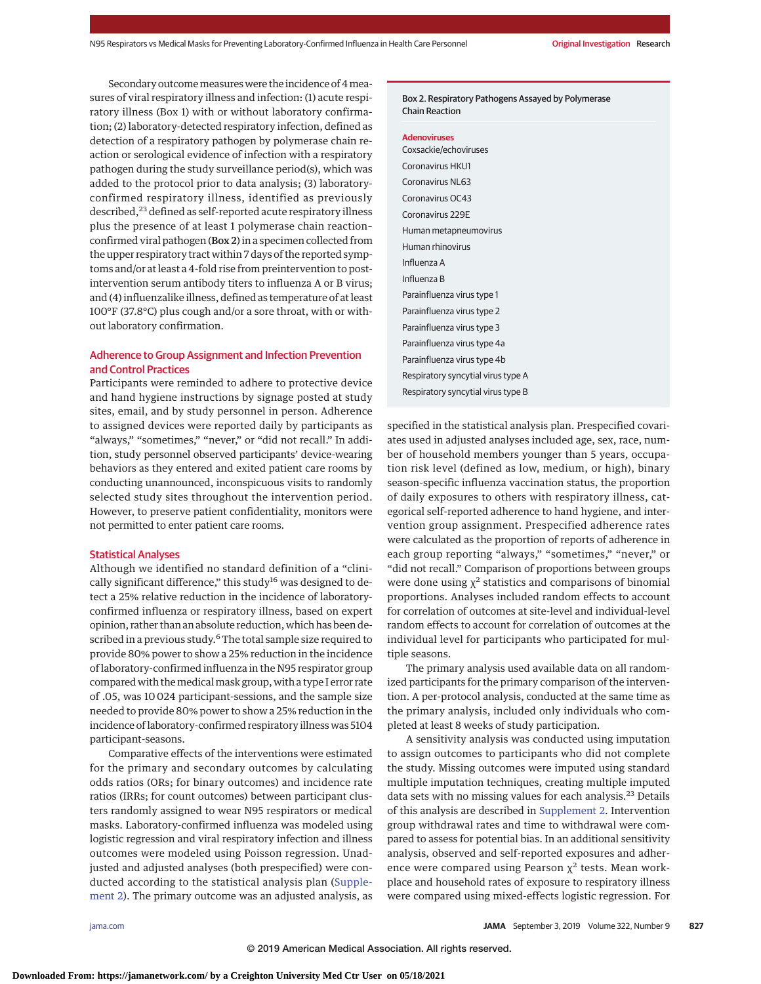Secondary outcome measures were the incidence of 4 measures of viral respiratory illness and infection: (1) acute respiratory illness (Box 1) with or without laboratory confirmation; (2) laboratory-detected respiratory infection, defined as detection of a respiratory pathogen by polymerase chain reaction or serological evidence of infection with a respiratory pathogen during the study surveillance period(s), which was added to the protocol prior to data analysis; (3) laboratoryconfirmed respiratory illness, identified as previously described,<sup>23</sup> defined as self-reported acute respiratory illness plus the presence of at least 1 polymerase chain reaction– confirmed viral pathogen (Box 2) in a specimen collected from the upper respiratory tract within 7 days of the reported symptoms and/or at least a 4-fold rise from preintervention to postintervention serum antibody titers to influenza A or B virus; and (4) influenzalike illness, defined as temperature of at least 100°F (37.8°C) plus cough and/or a sore throat, with or without laboratory confirmation.

# Adherence to Group Assignment and Infection Prevention and Control Practices

Participants were reminded to adhere to protective device and hand hygiene instructions by signage posted at study sites, email, and by study personnel in person. Adherence to assigned devices were reported daily by participants as "always," "sometimes," "never," or "did not recall." In addition, study personnel observed participants' device-wearing behaviors as they entered and exited patient care rooms by conducting unannounced, inconspicuous visits to randomly selected study sites throughout the intervention period. However, to preserve patient confidentiality, monitors were not permitted to enter patient care rooms.

#### Statistical Analyses

Although we identified no standard definition of a "clinically significant difference," this study<sup>16</sup> was designed to detect a 25% relative reduction in the incidence of laboratoryconfirmed influenza or respiratory illness, based on expert opinion, rather than an absolute reduction, which has been described in a previous study.<sup>6</sup> The total sample size required to provide 80% power to show a 25% reduction in the incidence of laboratory-confirmed influenza in the N95 respirator group compared with themedicalmask group, with a type I error rate of .05, was 10 024 participant-sessions, and the sample size needed to provide 80% power to show a 25% reduction in the incidence of laboratory-confirmed respiratory illness was 5104 participant-seasons.

Comparative effects of the interventions were estimated for the primary and secondary outcomes by calculating odds ratios (ORs; for binary outcomes) and incidence rate ratios (IRRs; for count outcomes) between participant clusters randomly assigned to wear N95 respirators or medical masks. Laboratory-confirmed influenza was modeled using logistic regression and viral respiratory infection and illness outcomes were modeled using Poisson regression. Unadjusted and adjusted analyses (both prespecified) were conducted according to the statistical analysis plan [\(Supple](https://jama.jamanetwork.com/article.aspx?doi=10.1001/jama.2019.11645&utm_campaign=articlePDF%26utm_medium=articlePDFlink%26utm_source=articlePDF%26utm_content=jama.2019.11645)[ment 2\)](https://jama.jamanetwork.com/article.aspx?doi=10.1001/jama.2019.11645&utm_campaign=articlePDF%26utm_medium=articlePDFlink%26utm_source=articlePDF%26utm_content=jama.2019.11645). The primary outcome was an adjusted analysis, as

Box 2. Respiratory Pathogens Assayed by Polymerase Chain Reaction

#### **Adenoviruses**

Coxsackie/echoviruses Coronavirus HKU1 Coronavirus NL63 Coronavirus OC43 Coronavirus 229E Human metapneumovirus Human rhinovirus Influenza A Influenza B Parainfluenza virus type 1 Parainfluenza virus type 2 Parainfluenza virus type 3 Parainfluenza virus type 4a Parainfluenza virus type 4b Respiratory syncytial virus type A Respiratory syncytial virus type B

specified in the statistical analysis plan. Prespecified covariates used in adjusted analyses included age, sex, race, number of household members younger than 5 years, occupation risk level (defined as low, medium, or high), binary season-specific influenza vaccination status, the proportion of daily exposures to others with respiratory illness, categorical self-reported adherence to hand hygiene, and intervention group assignment. Prespecified adherence rates were calculated as the proportion of reports of adherence in each group reporting "always," "sometimes," "never," or "did not recall." Comparison of proportions between groups were done using  $\chi^2$  statistics and comparisons of binomial proportions. Analyses included random effects to account for correlation of outcomes at site-level and individual-level random effects to account for correlation of outcomes at the individual level for participants who participated for multiple seasons.

The primary analysis used available data on all randomized participants for the primary comparison of the intervention. A per-protocol analysis, conducted at the same time as the primary analysis, included only individuals who completed at least 8 weeks of study participation.

A sensitivity analysis was conducted using imputation to assign outcomes to participants who did not complete the study. Missing outcomes were imputed using standard multiple imputation techniques, creating multiple imputed data sets with no missing values for each analysis.<sup>23</sup> Details of this analysis are described in [Supplement 2.](https://jama.jamanetwork.com/article.aspx?doi=10.1001/jama.2019.11645&utm_campaign=articlePDF%26utm_medium=articlePDFlink%26utm_source=articlePDF%26utm_content=jama.2019.11645) Intervention group withdrawal rates and time to withdrawal were compared to assess for potential bias. In an additional sensitivity analysis, observed and self-reported exposures and adherence were compared using Pearson  $\chi^2$  tests. Mean workplace and household rates of exposure to respiratory illness were compared using mixed-effects logistic regression. For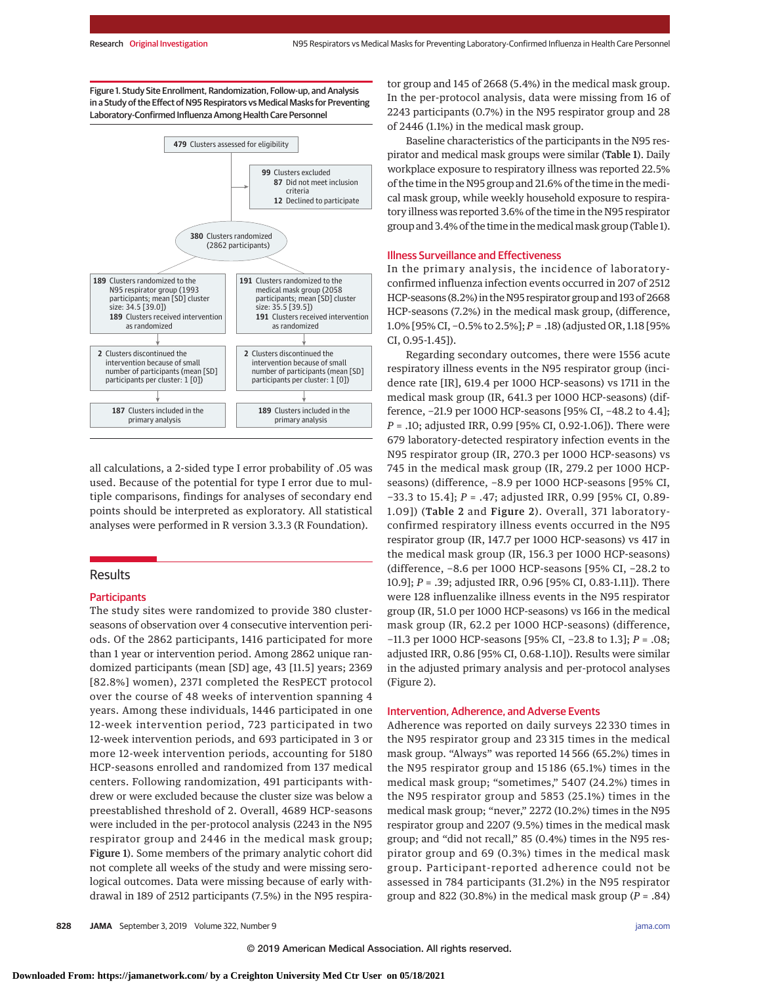Figure 1. Study Site Enrollment, Randomization, Follow-up, and Analysis in a Study of the Effect of N95 Respirators vs Medical Masks for Preventing Laboratory-Confirmed Influenza Among Health Care Personnel



all calculations, a 2-sided type I error probability of .05 was used. Because of the potential for type I error due to multiple comparisons, findings for analyses of secondary end points should be interpreted as exploratory. All statistical analyses were performed in R version 3.3.3 (R Foundation).

# Results

## **Participants**

The study sites were randomized to provide 380 clusterseasons of observation over 4 consecutive intervention periods. Of the 2862 participants, 1416 participated for more than 1 year or intervention period. Among 2862 unique randomized participants (mean [SD] age, 43 [11.5] years; 2369 [82.8%] women), 2371 completed the ResPECT protocol over the course of 48 weeks of intervention spanning 4 years. Among these individuals, 1446 participated in one 12-week intervention period, 723 participated in two 12-week intervention periods, and 693 participated in 3 or more 12-week intervention periods, accounting for 5180 HCP-seasons enrolled and randomized from 137 medical centers. Following randomization, 491 participants withdrew or were excluded because the cluster size was below a preestablished threshold of 2. Overall, 4689 HCP-seasons were included in the per-protocol analysis (2243 in the N95 respirator group and 2446 in the medical mask group; Figure 1). Some members of the primary analytic cohort did not complete all weeks of the study and were missing serological outcomes. Data were missing because of early withdrawal in 189 of 2512 participants (7.5%) in the N95 respirator group and 145 of 2668 (5.4%) in the medical mask group. In the per-protocol analysis, data were missing from 16 of 2243 participants (0.7%) in the N95 respirator group and 28 of 2446 (1.1%) in the medical mask group.

Baseline characteristics of the participants in the N95 respirator and medical mask groups were similar (Table 1). Daily workplace exposure to respiratory illness was reported 22.5% of the time in the N95 group and 21.6% of the time in the medical mask group, while weekly household exposure to respiratory illness was reported 3.6% of the time in the N95 respirator group and 3.4% of the time in themedicalmask group (Table 1).

## Illness Surveillance and Effectiveness

In the primary analysis, the incidence of laboratoryconfirmed influenza infection events occurred in 207 of 2512 HCP-seasons (8.2%) in the N95 respirator group and 193 of 2668 HCP-seasons (7.2%) in the medical mask group, (difference, 1.0% [95% CI, −0.5% to 2.5%]; *P* = .18) (adjusted OR, 1.18 [95% CI, 0.95-1.45]).

Regarding secondary outcomes, there were 1556 acute respiratory illness events in the N95 respirator group (incidence rate [IR], 619.4 per 1000 HCP-seasons) vs 1711 in the medical mask group (IR, 641.3 per 1000 HCP-seasons) (difference, −21.9 per 1000 HCP-seasons [95% CI, −48.2 to 4.4]; *P* = .10; adjusted IRR, 0.99 [95% CI, 0.92-1.06]). There were 679 laboratory-detected respiratory infection events in the N95 respirator group (IR, 270.3 per 1000 HCP-seasons) vs 745 in the medical mask group (IR, 279.2 per 1000 HCPseasons) (difference, −8.9 per 1000 HCP-seasons [95% CI, −33.3 to 15.4]; *P* = .47; adjusted IRR, 0.99 [95% CI, 0.89- 1.09]) (Table 2 and Figure 2). Overall, 371 laboratoryconfirmed respiratory illness events occurred in the N95 respirator group (IR, 147.7 per 1000 HCP-seasons) vs 417 in the medical mask group (IR, 156.3 per 1000 HCP-seasons) (difference, −8.6 per 1000 HCP-seasons [95% CI, −28.2 to 10.9]; *P* = .39; adjusted IRR, 0.96 [95% CI, 0.83-1.11]). There were 128 influenzalike illness events in the N95 respirator group (IR, 51.0 per 1000 HCP-seasons) vs 166 in the medical mask group (IR, 62.2 per 1000 HCP-seasons) (difference, −11.3 per 1000 HCP-seasons [95% CI, −23.8 to 1.3]; *P* = .08; adjusted IRR, 0.86 [95% CI, 0.68-1.10]). Results were similar in the adjusted primary analysis and per-protocol analyses (Figure 2).

## Intervention, Adherence, and Adverse Events

Adherence was reported on daily surveys 22 330 times in the N95 respirator group and 23 315 times in the medical mask group. "Always" was reported 14 566 (65.2%) times in the N95 respirator group and 15 186 (65.1%) times in the medical mask group; "sometimes," 5407 (24.2%) times in the N95 respirator group and 5853 (25.1%) times in the medical mask group; "never," 2272 (10.2%) times in the N95 respirator group and 2207 (9.5%) times in the medical mask group; and "did not recall," 85 (0.4%) times in the N95 respirator group and 69 (0.3%) times in the medical mask group. Participant-reported adherence could not be assessed in 784 participants (31.2%) in the N95 respirator group and 822 (30.8%) in the medical mask group  $(P = .84)$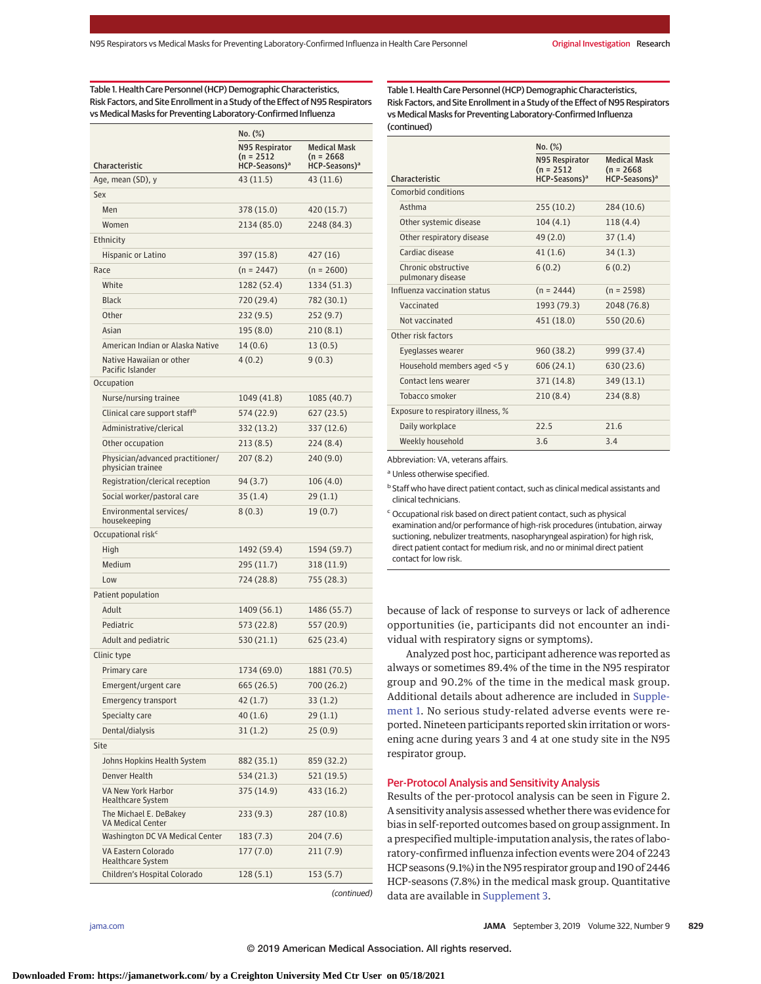Table 1. Health Care Personnel (HCP) Demographic Characteristics, Risk Factors, and Site Enrollment in a Study of the Effect of N95 Respirators vs Medical Masks for Preventing Laboratory-Confirmed Influenza

|                                                       | $No.$ $(\%)$                                             |                                            |  |  |  |
|-------------------------------------------------------|----------------------------------------------------------|--------------------------------------------|--|--|--|
| Characteristic                                        | N95 Respirator<br>(n = 2512<br>HCP-Seasons) <sup>a</sup> | Medical Mask<br>(n = 2668<br>HCP-Seasons)ª |  |  |  |
| Age, mean (SD), y                                     | 43 (11.5)                                                | 43 (11.6)                                  |  |  |  |
| Sex                                                   |                                                          |                                            |  |  |  |
| Men                                                   | 378 (15.0)                                               | 420 (15.7)                                 |  |  |  |
| Women                                                 | 2134 (85.0)                                              | 2248 (84.3)                                |  |  |  |
| Ethnicity                                             |                                                          |                                            |  |  |  |
| Hispanic or Latino                                    | 397 (15.8)                                               | 427 (16)                                   |  |  |  |
| Race                                                  | $(n = 2447)$                                             | $(n = 2600)$                               |  |  |  |
| White                                                 | 1282 (52.4)                                              | 1334 (51.3)                                |  |  |  |
| <b>Black</b>                                          | 720 (29.4)                                               | 782 (30.1)                                 |  |  |  |
| Other                                                 | 232 (9.5)                                                | 252 (9.7)                                  |  |  |  |
| Asian                                                 | 195 (8.0)                                                | 210 (8.1)                                  |  |  |  |
| American Indian or Alaska Native                      | 14 (0.6)                                                 | 13 (0.5)                                   |  |  |  |
| Native Hawaiian or other<br>Pacific Islander          | 4(0.2)                                                   | 9(0.3)                                     |  |  |  |
| Occupation                                            |                                                          |                                            |  |  |  |
| Nurse/nursing trainee                                 | 1049 (41.8)                                              | 1085 (40.7)                                |  |  |  |
| Clinical care support staff <sup>b</sup>              | 574 (22.9)                                               | 627(23.5)                                  |  |  |  |
| Administrative/clerical                               | 332 (13.2)                                               | 337 (12.6)                                 |  |  |  |
| Other occupation                                      | 213(8.5)                                                 | 224(8.4)                                   |  |  |  |
| Physician/advanced practitioner/<br>physician trainee | 207(8.2)                                                 | 240 (9.0)                                  |  |  |  |
| Registration/clerical reception                       | 94 (3.7)                                                 | 106 (4.0)                                  |  |  |  |
| Social worker/pastoral care                           | 35 (1.4)                                                 | 29(1.1)                                    |  |  |  |
| Environmental services/<br>housekeeping               | 8(0.3)                                                   | 19(0.7)                                    |  |  |  |
| Occupational risk <sup>c</sup>                        |                                                          |                                            |  |  |  |
| High                                                  | 1492 (59.4)                                              | 1594 (59.7)                                |  |  |  |
| Medium                                                | 295 (11.7)                                               | 318 (11.9)                                 |  |  |  |
| Low                                                   | 724 (28.8)                                               | 755 (28.3)                                 |  |  |  |
| Patient population                                    |                                                          |                                            |  |  |  |
| Adult                                                 | 1409 (56.1)                                              | 1486 (55.7)                                |  |  |  |
| Pediatric                                             | 573 (22.8)                                               | 557 (20.9)                                 |  |  |  |
| Adult and pediatric                                   | 530 (21.1)                                               | 625 (23.4)                                 |  |  |  |
| Clinic type                                           |                                                          |                                            |  |  |  |
| Primary care                                          | 1734 (69.0)                                              | 1881 (70.5)                                |  |  |  |
| Emergent/urgent care                                  | 665 (26.5)                                               | 700 (26.2)                                 |  |  |  |
| <b>Emergency transport</b>                            | 42 (1.7)                                                 | 33(1.2)                                    |  |  |  |
| Specialty care                                        | 40(1.6)                                                  | 29(1.1)                                    |  |  |  |
| Dental/dialysis                                       | 31 (1.2)                                                 | 25(0.9)                                    |  |  |  |
| Site                                                  |                                                          |                                            |  |  |  |
| Johns Hopkins Health System                           | 882 (35.1)                                               | 859 (32.2)                                 |  |  |  |
| Denver Health                                         | 534 (21.3)                                               | 521 (19.5)                                 |  |  |  |
| VA New York Harbor<br>Healthcare System               | 375 (14.9)                                               | 433 (16.2)                                 |  |  |  |
| The Michael E. DeBakey<br><b>VA Medical Center</b>    | 233 (9.3)                                                | 287 (10.8)                                 |  |  |  |
| Washington DC VA Medical Center                       | 183 (7.3)                                                | 204 (7.6)                                  |  |  |  |
| VA Eastern Colorado<br><b>Healthcare System</b>       | 177 (7.0)                                                | 211 (7.9)                                  |  |  |  |
| Children's Hospital Colorado                          | 128(5.1)                                                 | 153 (5.7)                                  |  |  |  |
|                                                       |                                                          |                                            |  |  |  |

Table 1. Health Care Personnel (HCP) Demographic Characteristics, Risk Factors, and Site Enrollment in a Study of the Effect of N95 Respirators vs Medical Masks for Preventing Laboratory-Confirmed Influenza (continued)

|                                          | No. (%)                                                     |                                                                  |  |  |  |  |
|------------------------------------------|-------------------------------------------------------------|------------------------------------------------------------------|--|--|--|--|
| Characteristic                           | N95 Respirator<br>$(n = 2512)$<br>HCP-Seasons) <sup>a</sup> | <b>Medical Mask</b><br>$(n = 2668)$<br>HCP-Seasons) <sup>a</sup> |  |  |  |  |
| Comorbid conditions                      |                                                             |                                                                  |  |  |  |  |
| Asthma                                   | 255 (10.2)                                                  | 284 (10.6)                                                       |  |  |  |  |
| Other systemic disease                   | 104(4.1)                                                    | 118(4.4)                                                         |  |  |  |  |
| Other respiratory disease                | 49 (2.0)                                                    | 37(1.4)                                                          |  |  |  |  |
| Cardiac disease                          | 41(1.6)                                                     | 34(1.3)                                                          |  |  |  |  |
| Chronic obstructive<br>pulmonary disease | 6(0.2)                                                      | 6(0.2)                                                           |  |  |  |  |
| Influenza vaccination status             | $(n = 2444)$                                                | $(n = 2598)$                                                     |  |  |  |  |
| Vaccinated                               | 1993 (79.3)                                                 | 2048 (76.8)                                                      |  |  |  |  |
| Not vaccinated                           | 451 (18.0)                                                  | 550 (20.6)                                                       |  |  |  |  |
| Other risk factors                       |                                                             |                                                                  |  |  |  |  |
| Eyeglasses wearer                        | 960 (38.2)                                                  | 999 (37.4)                                                       |  |  |  |  |
| Household members aged <5 y              | 606 (24.1)                                                  | 630 (23.6)                                                       |  |  |  |  |
| Contact lens wearer                      | 371 (14.8)                                                  | 349 (13.1)                                                       |  |  |  |  |
| Tobacco smoker                           | 210(8.4)                                                    | 234(8.8)                                                         |  |  |  |  |
|                                          | Exposure to respiratory illness, %                          |                                                                  |  |  |  |  |
| Daily workplace                          | 22.5                                                        | 21.6                                                             |  |  |  |  |
| Weekly household                         | 3.6                                                         | 3.4                                                              |  |  |  |  |

Abbreviation: VA, veterans affairs.

a Unless otherwise specified.

<sup>b</sup> Staff who have direct patient contact, such as clinical medical assistants and clinical technicians.

<sup>c</sup> Occupational risk based on direct patient contact, such as physical examination and/or performance of high-risk procedures (intubation, airway suctioning, nebulizer treatments, nasopharyngeal aspiration) for high risk, direct patient contact for medium risk, and no or minimal direct patient contact for low risk.

because of lack of response to surveys or lack of adherence opportunities (ie, participants did not encounter an individual with respiratory signs or symptoms).

Analyzed post hoc, participant adherence was reported as always or sometimes 89.4% of the time in the N95 respirator group and 90.2% of the time in the medical mask group. Additional details about adherence are included in [Supple](https://jama.jamanetwork.com/article.aspx?doi=10.1001/jama.2019.11645&utm_campaign=articlePDF%26utm_medium=articlePDFlink%26utm_source=articlePDF%26utm_content=jama.2019.11645)[ment 1.](https://jama.jamanetwork.com/article.aspx?doi=10.1001/jama.2019.11645&utm_campaign=articlePDF%26utm_medium=articlePDFlink%26utm_source=articlePDF%26utm_content=jama.2019.11645) No serious study-related adverse events were reported. Nineteen participants reported skin irritation or worsening acne during years 3 and 4 at one study site in the N95 respirator group.

#### Per-Protocol Analysis and Sensitivity Analysis

Results of the per-protocol analysis can be seen in Figure 2. A sensitivity analysis assessed whether there was evidence for bias in self-reported outcomes based on group assignment. In a prespecified multiple-imputation analysis, the rates of laboratory-confirmed influenza infection events were 204 of 2243 HCP seasons (9.1%) in the N95 respirator group and 190 of 2446 HCP-seasons (7.8%) in the medical mask group. Quantitative data are available in [Supplement 3.](https://jama.jamanetwork.com/article.aspx?doi=10.1001/jama.2019.11645&utm_campaign=articlePDF%26utm_medium=articlePDFlink%26utm_source=articlePDF%26utm_content=jama.2019.11645)

(continued)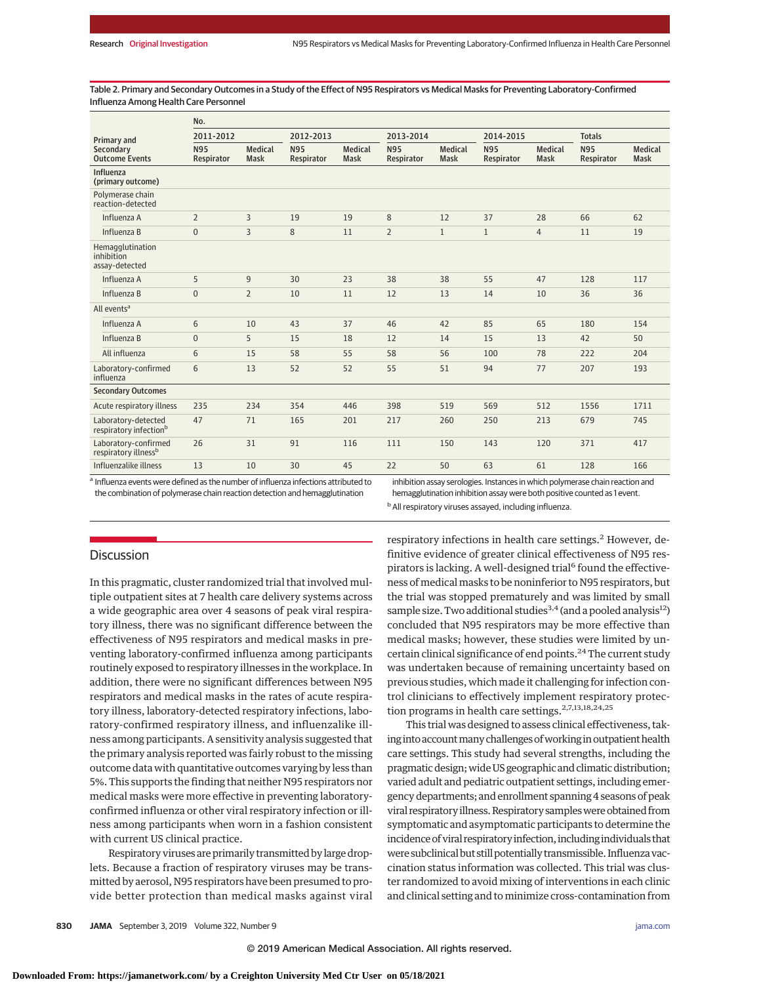Table 2. Primary and Secondary Outcomes in a Study of the Effect of N95 Respirators vs Medical Masks for Preventing Laboratory-Confirmed Influenza Among Health Care Personnel

|                                                           | No.                      |                               |                          |                               |                          |                               |                          |                               |                          |                               |
|-----------------------------------------------------------|--------------------------|-------------------------------|--------------------------|-------------------------------|--------------------------|-------------------------------|--------------------------|-------------------------------|--------------------------|-------------------------------|
| Primary and<br>Secondary<br><b>Outcome Events</b>         | 2011-2012                |                               | 2012-2013                |                               | 2013-2014                |                               | 2014-2015                |                               | <b>Totals</b>            |                               |
|                                                           | <b>N95</b><br>Respirator | <b>Medical</b><br><b>Mask</b> | <b>N95</b><br>Respirator | <b>Medical</b><br><b>Mask</b> | <b>N95</b><br>Respirator | <b>Medical</b><br><b>Mask</b> | <b>N95</b><br>Respirator | <b>Medical</b><br><b>Mask</b> | <b>N95</b><br>Respirator | <b>Medical</b><br><b>Mask</b> |
| Influenza<br>(primary outcome)                            |                          |                               |                          |                               |                          |                               |                          |                               |                          |                               |
| Polymerase chain<br>reaction-detected                     |                          |                               |                          |                               |                          |                               |                          |                               |                          |                               |
| Influenza A                                               | $\overline{2}$           | 3                             | 19                       | 19                            | 8                        | 12                            | 37                       | 28                            | 66                       | 62                            |
| Influenza B                                               | $\overline{0}$           | 3                             | 8                        | 11                            | $\overline{2}$           | $\mathbf{1}$                  | $\mathbf{1}$             | $\overline{4}$                | 11                       | 19                            |
| Hemagglutination<br>inhibition<br>assay-detected          |                          |                               |                          |                               |                          |                               |                          |                               |                          |                               |
| Influenza A                                               | 5                        | $\overline{9}$                | 30                       | 23                            | 38                       | 38                            | 55                       | 47                            | 128                      | 117                           |
| Influenza B                                               | $\mathbf{0}$             | $\overline{2}$                | 10                       | 11                            | 12                       | 13                            | 14                       | 10                            | 36                       | 36                            |
| All events <sup>a</sup>                                   |                          |                               |                          |                               |                          |                               |                          |                               |                          |                               |
| Influenza A                                               | 6                        | 10                            | 43                       | 37                            | 46                       | 42                            | 85                       | 65                            | 180                      | 154                           |
| Influenza B                                               | $\Omega$                 | 5                             | 15                       | 18                            | 12                       | 14                            | 15                       | 13                            | 42                       | 50                            |
| All influenza                                             | 6                        | 15                            | 58                       | 55                            | 58                       | 56                            | 100                      | 78                            | 222                      | 204                           |
| Laboratory-confirmed<br>influenza                         | 6                        | 13                            | 52                       | 52                            | 55                       | 51                            | 94                       | 77                            | 207                      | 193                           |
| <b>Secondary Outcomes</b>                                 |                          |                               |                          |                               |                          |                               |                          |                               |                          |                               |
| Acute respiratory illness                                 | 235                      | 234                           | 354                      | 446                           | 398                      | 519                           | 569                      | 512                           | 1556                     | 1711                          |
| Laboratory-detected<br>respiratory infection <sup>b</sup> | 47                       | 71                            | 165                      | 201                           | 217                      | 260                           | 250                      | 213                           | 679                      | 745                           |
| Laboratory-confirmed<br>respiratory illness <sup>b</sup>  | 26                       | 31                            | 91                       | 116                           | 111                      | 150                           | 143                      | 120                           | 371                      | 417                           |
| Influenzalike illness                                     | 13                       | 10                            | 30                       | 45                            | 22                       | 50                            | 63                       | 61                            | 128                      | 166                           |

a Influenza events were defined as the number of influenza infections attributed to the combination of polymerase chain reaction detection and hemagglutination

inhibition assay serologies. Instances in which polymerase chain reaction and hemagglutination inhibition assay were both positive counted as 1 event.

<sup>b</sup> All respiratory viruses assayed, including influenza.

# **Discussion**

In this pragmatic, cluster randomized trial that involved multiple outpatient sites at 7 health care delivery systems across a wide geographic area over 4 seasons of peak viral respiratory illness, there was no significant difference between the effectiveness of N95 respirators and medical masks in preventing laboratory-confirmed influenza among participants routinely exposed to respiratory illnesses in the workplace. In addition, there were no significant differences between N95 respirators and medical masks in the rates of acute respiratory illness, laboratory-detected respiratory infections, laboratory-confirmed respiratory illness, and influenzalike illness among participants. A sensitivity analysis suggested that the primary analysis reported was fairly robust to the missing outcome data with quantitative outcomes varying by less than 5%. This supports the finding that neither N95 respirators nor medical masks were more effective in preventing laboratoryconfirmed influenza or other viral respiratory infection or illness among participants when worn in a fashion consistent with current US clinical practice.

Respiratory viruses are primarily transmitted by large droplets. Because a fraction of respiratory viruses may be transmitted by aerosol, N95 respirators have been presumed to provide better protection than medical masks against viral

respiratory infections in health care settings.<sup>2</sup> However, definitive evidence of greater clinical effectiveness of N95 respirators is lacking. A well-designed trial<sup>6</sup> found the effectiveness ofmedicalmasks to be noninferior to N95 respirators, but the trial was stopped prematurely and was limited by small sample size. Two additional studies<sup>3,4</sup> (and a pooled analysis<sup>12</sup>) concluded that N95 respirators may be more effective than medical masks; however, these studies were limited by uncertain clinical significance of end points.<sup>24</sup> The current study was undertaken because of remaining uncertainty based on previous studies, which made it challenging for infection control clinicians to effectively implement respiratory protection programs in health care settings.<sup>2,7,13,18,24,25</sup>

This trial was designed to assess clinical effectiveness, taking into account many challenges of working in outpatient health care settings. This study had several strengths, including the pragmatic design;wide US geographic and climatic distribution; varied adult and pediatric outpatient settings, including emergency departments; and enrollment spanning 4 seasons of peak viral respiratory illness. Respiratory samples were obtained from symptomatic and asymptomatic participants to determine the incidence of viral respiratory infection, including individuals that were subclinical but still potentially transmissible. Influenza vaccination status information was collected. This trial was cluster randomized to avoid mixing of interventions in each clinic and clinical setting and to minimize cross-contamination from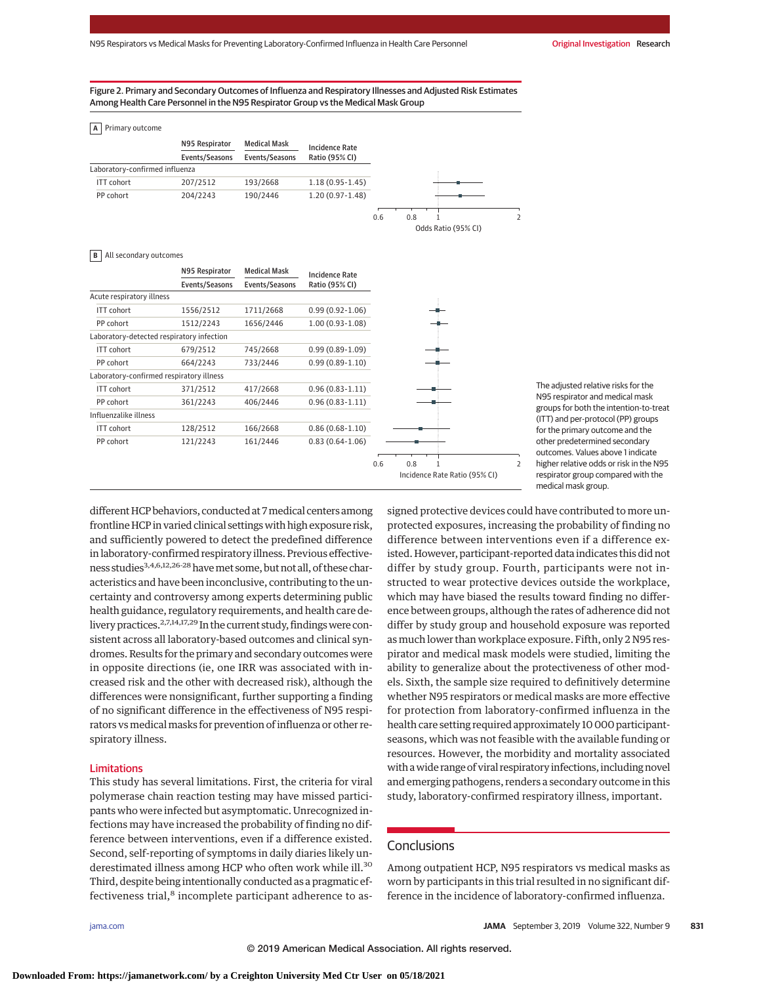## Figure 2. Primary and Secondary Outcomes of Influenza and Respiratory Illnesses and Adjusted Risk Estimates Among Health Care Personnel in the N95 Respirator Group vs the Medical Mask Group

|  |  | A Primary outcome |
|--|--|-------------------|
|--|--|-------------------|

|                                | N95 Respirator | <b>Medical Mask</b> | <b>Incidence Rate</b> |  |
|--------------------------------|----------------|---------------------|-----------------------|--|
|                                | Events/Seasons | Events/Seasons      | Ratio (95% CI)        |  |
| Laboratory-confirmed influenza |                |                     |                       |  |
| <b>ITT</b> cohort              | 207/2512       | 193/2668            | $1.18(0.95 - 1.45)$   |  |
| PP cohort                      | 204/2243       | 190/2446            | $1.20(0.97-1.48)$     |  |

#### **B** All secondary outcomes

|                                           | N95 Respirator | <b>Medical Mask</b> | <b>Incidence Rate</b> |                                                               |
|-------------------------------------------|----------------|---------------------|-----------------------|---------------------------------------------------------------|
|                                           | Events/Seasons | Events/Seasons      | Ratio (95% CI)        |                                                               |
| Acute respiratory illness                 |                |                     |                       |                                                               |
| ITT cohort                                | 1556/2512      | 1711/2668           | $0.99(0.92 - 1.06)$   |                                                               |
| PP cohort                                 | 1512/2243      | 1656/2446           | $1.00(0.93-1.08)$     |                                                               |
| Laboratory-detected respiratory infection |                |                     |                       |                                                               |
| <b>ITT</b> cohort                         | 679/2512       | 745/2668            | $0.99(0.89-1.09)$     |                                                               |
| PP cohort                                 | 664/2243       | 733/2446            | $0.99(0.89 - 1.10)$   |                                                               |
| Laboratory-confirmed respiratory illness  |                |                     |                       |                                                               |
| ITT cohort                                | 371/2512       | 417/2668            | $0.96(0.83 - 1.11)$   |                                                               |
| PP cohort                                 | 361/2243       | 406/2446            | $0.96(0.83 - 1.11)$   |                                                               |
| Influenzalike illness                     |                |                     |                       |                                                               |
| ITT cohort                                | 128/2512       | 166/2668            | $0.86(0.68-1.10)$     |                                                               |
| PP cohort                                 | 121/2243       | 161/2446            | $0.83(0.64-1.06)$     |                                                               |
|                                           |                |                     |                       | 0.6<br>0.8<br>$\overline{2}$<br>Incidence Rate Ratio (95% CI) |

The adjusted relative risks for the N95 respirator and medical mask groups for both the intention-to-treat (ITT) and per-protocol (PP) groups for the primary outcome and the other predetermined secondary outcomes. Values above 1 indicate higher relative odds or risk in the N95 respirator group compared with the medical mask group.

different HCP behaviors, conducted at 7medical centers among frontline HCP in varied clinical settings with high exposure risk, and sufficiently powered to detect the predefined difference in laboratory-confirmed respiratory illness. Previous effectiveness studies3,4,6,12,26-28havemet some, but not all, of these characteristics and have been inconclusive, contributing to the uncertainty and controversy among experts determining public health guidance, regulatory requirements, and health care delivery practices.<sup>2,7,14,17,29</sup> In the current study, findings were consistent across all laboratory-based outcomes and clinical syndromes. Results for the primary and secondary outcomes were in opposite directions (ie, one IRR was associated with increased risk and the other with decreased risk), although the differences were nonsignificant, further supporting a finding of no significant difference in the effectiveness of N95 respirators vs medical masks for prevention of influenza or other respiratory illness.

#### Limitations

This study has several limitations. First, the criteria for viral polymerase chain reaction testing may have missed participants who were infected but asymptomatic. Unrecognized infections may have increased the probability of finding no difference between interventions, even if a difference existed. Second, self-reporting of symptoms in daily diaries likely underestimated illness among HCP who often work while ill.<sup>30</sup> Third, despite being intentionally conducted as a pragmatic effectiveness trial,<sup>8</sup> incomplete participant adherence to assigned protective devices could have contributed to more unprotected exposures, increasing the probability of finding no difference between interventions even if a difference existed. However, participant-reported data indicates this did not differ by study group. Fourth, participants were not instructed to wear protective devices outside the workplace, which may have biased the results toward finding no difference between groups, although the rates of adherence did not differ by study group and household exposure was reported as much lower than workplace exposure. Fifth, only 2 N95 respirator and medical mask models were studied, limiting the ability to generalize about the protectiveness of other models. Sixth, the sample size required to definitively determine whether N95 respirators or medical masks are more effective for protection from laboratory-confirmed influenza in the health care setting required approximately 10 000 participantseasons, which was not feasible with the available funding or resources. However, the morbidity and mortality associated with awide range of viral respiratory infections, including novel and emerging pathogens, renders a secondary outcome in this study, laboratory-confirmed respiratory illness, important.

# **Conclusions**

Odds Ratio (95% CI)

Among outpatient HCP, N95 respirators vs medical masks as worn by participants in this trial resulted in no significant difference in the incidence of laboratory-confirmed influenza.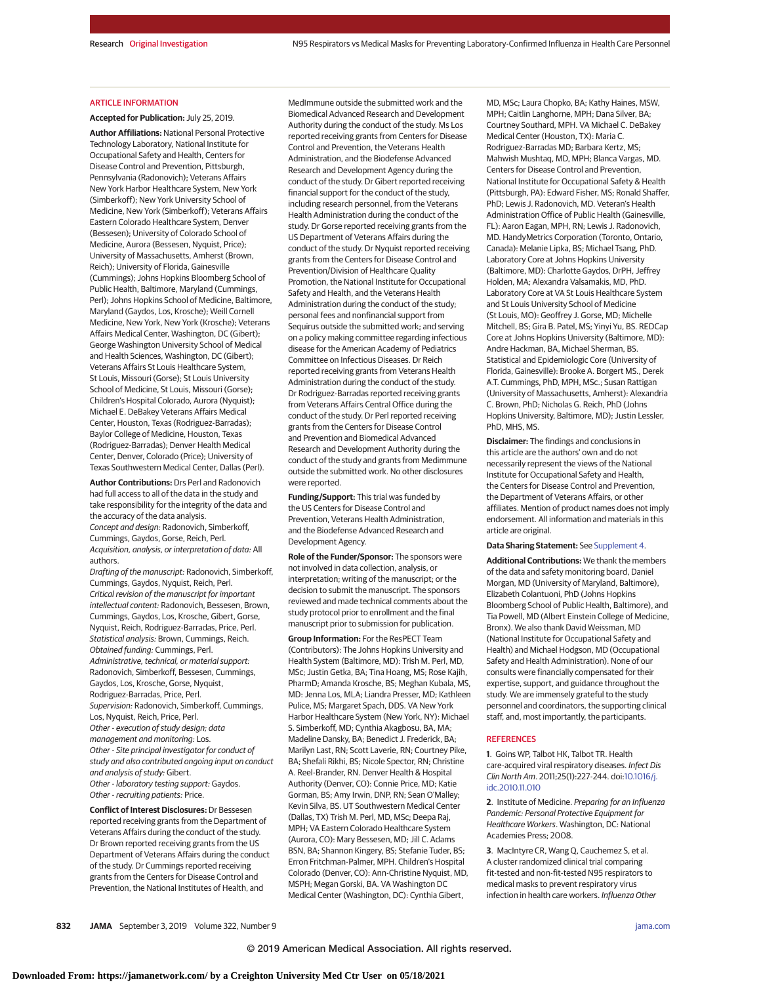## ARTICLE INFORMATION

#### **Accepted for Publication:** July 25, 2019.

**Author Affiliations:** National Personal Protective Technology Laboratory, National Institute for Occupational Safety and Health, Centers for Disease Control and Prevention, Pittsburgh, Pennsylvania (Radonovich); Veterans Affairs New York Harbor Healthcare System, New York (Simberkoff); New York University School of Medicine, New York (Simberkoff); Veterans Affairs Eastern Colorado Healthcare System, Denver (Bessesen); University of Colorado School of Medicine, Aurora (Bessesen, Nyquist, Price); University of Massachusetts, Amherst (Brown, Reich); University of Florida, Gainesville (Cummings); Johns Hopkins Bloomberg School of Public Health, Baltimore, Maryland (Cummings, Perl); Johns Hopkins School of Medicine, Baltimore, Maryland (Gaydos, Los, Krosche); Weill Cornell Medicine, New York, New York (Krosche); Veterans Affairs Medical Center, Washington, DC (Gibert); George Washington University School of Medical and Health Sciences, Washington, DC (Gibert); Veterans Affairs St Louis Healthcare System, St Louis, Missouri (Gorse); St Louis University School of Medicine, St Louis, Missouri (Gorse); Children's Hospital Colorado, Aurora (Nyquist); Michael E. DeBakey Veterans Affairs Medical Center, Houston, Texas (Rodriguez-Barradas); Baylor College of Medicine, Houston, Texas (Rodriguez-Barradas); Denver Health Medical Center, Denver, Colorado (Price); University of Texas Southwestern Medical Center, Dallas (Perl).

**Author Contributions:** Drs Perl and Radonovich had full access to all of the data in the study and take responsibility for the integrity of the data and the accuracy of the data analysis. Concept and design: Radonovich, Simberkoff, Cummings, Gaydos, Gorse, Reich, Perl. Acquisition, analysis, or interpretation of data: All authors.

Drafting of the manuscript: Radonovich, Simberkoff, Cummings, Gaydos, Nyquist, Reich, Perl. Critical revision of the manuscript for important intellectual content: Radonovich, Bessesen, Brown, Cummings, Gaydos, Los, Krosche, Gibert, Gorse, Nyquist, Reich, Rodriguez-Barradas, Price, Perl. Statistical analysis: Brown, Cummings, Reich. Obtained funding: Cummings, Perl. Administrative, technical, or material support: Radonovich, Simberkoff, Bessesen, Cummings, Gaydos, Los, Krosche, Gorse, Nyquist, Rodriguez-Barradas, Price, Perl. Supervision: Radonovich, Simberkoff, Cummings, Los, Nyquist, Reich, Price, Perl. Other - execution of study design; data management and monitoring: Los. Other - Site principal investigator for conduct of study and also contributed ongoing input on conduct and analysis of study: Gibert. Other - laboratory testing support: Gaydos. Other - recruiting patients: Price.

**Conflict of Interest Disclosures:** Dr Bessesen reported receiving grants from the Department of Veterans Affairs during the conduct of the study. Dr Brown reported receiving grants from the US Department of Veterans Affairs during the conduct of the study. Dr Cummings reported receiving grants from the Centers for Disease Control and Prevention, the National Institutes of Health, and

MedImmune outside the submitted work and the Biomedical Advanced Research and Development Authority during the conduct of the study. Ms Los reported receiving grants from Centers for Disease Control and Prevention, the Veterans Health Administration, and the Biodefense Advanced Research and Development Agency during the conduct of the study. Dr Gibert reported receiving financial support for the conduct of the study, including research personnel, from the Veterans Health Administration during the conduct of the study. Dr Gorse reported receiving grants from the US Department of Veterans Affairs during the conduct of the study. Dr Nyquist reported receiving grants from the Centers for Disease Control and Prevention/Division of Healthcare Quality Promotion, the National Institute for Occupational Safety and Health, and the Veterans Health Administration during the conduct of the study; personal fees and nonfinancial support from Sequirus outside the submitted work; and serving on a policy making committee regarding infectious disease for the American Academy of Pediatrics Committee on Infectious Diseases. Dr Reich reported receiving grants from Veterans Health Administration during the conduct of the study. Dr Rodriguez-Barradas reported receiving grants from Veterans Affairs Central Office during the conduct of the study. Dr Perl reported receiving grants from the Centers for Disease Control and Prevention and Biomedical Advanced Research and Development Authority during the conduct of the study and grants from Medimmune outside the submitted work. No other disclosures were reported.

**Funding/Support:** This trial was funded by the US Centers for Disease Control and Prevention, Veterans Health Administration, and the Biodefense Advanced Research and Development Agency.

**Role of the Funder/Sponsor:** The sponsors were not involved in data collection, analysis, or interpretation; writing of the manuscript; or the decision to submit the manuscript. The sponsors reviewed and made technical comments about the study protocol prior to enrollment and the final manuscript prior to submission for publication.

**Group Information:** For the ResPECT Team (Contributors): The Johns Hopkins University and Health System (Baltimore, MD): Trish M. Perl, MD, MSc; Justin Getka, BA; Tina Hoang, MS; Rose Kajih, PharmD; Amanda Krosche, BS; Meghan Kubala, MS, MD: Jenna Los, MLA; Liandra Presser, MD; Kathleen Pulice, MS; Margaret Spach, DDS. VA New York Harbor Healthcare System (New York, NY): Michael S. Simberkoff, MD; Cynthia Akagbosu, BA, MA; Madeline Dansky, BA; Benedict J. Frederick, BA; Marilyn Last, RN; Scott Laverie, RN; Courtney Pike, BA; Shefali Rikhi, BS; Nicole Spector, RN; Christine A. Reel-Brander, RN. Denver Health & Hospital Authority (Denver, CO): Connie Price, MD; Katie Gorman, BS; Amy Irwin, DNP, RN; Sean O'Malley; Kevin Silva, BS. UT Southwestern Medical Center (Dallas, TX) Trish M. Perl, MD, MSc; Deepa Raj, MPH; VA Eastern Colorado Healthcare System (Aurora, CO): Mary Bessesen, MD; Jill C. Adams BSN, BA; Shannon Kingery, BS; Stefanie Tuder, BS; Erron Fritchman-Palmer, MPH. Children's Hospital Colorado (Denver, CO): Ann-Christine Nyquist, MD, MSPH; Megan Gorski, BA. VA Washington DC Medical Center (Washington, DC): Cynthia Gibert,

MD, MSc; Laura Chopko, BA; Kathy Haines, MSW, MPH; Caitlin Langhorne, MPH; Dana Silver, BA; Courtney Southard, MPH. VA Michael C. DeBakey Medical Center (Houston, TX): Maria C. Rodriguez-Barradas MD; Barbara Kertz, MS; Mahwish Mushtaq, MD, MPH; Blanca Vargas, MD. Centers for Disease Control and Prevention, National Institute for Occupational Safety & Health (Pittsburgh, PA): Edward Fisher, MS; Ronald Shaffer, PhD; Lewis J. Radonovich, MD. Veteran's Health Administration Office of Public Health (Gainesville, FL): Aaron Eagan, MPH, RN; Lewis J. Radonovich, MD. HandyMetrics Corporation (Toronto, Ontario, Canada): Melanie Lipka, BS; Michael Tsang, PhD. Laboratory Core at Johns Hopkins University (Baltimore, MD): Charlotte Gaydos, DrPH, Jeffrey Holden, MA; Alexandra Valsamakis, MD, PhD. Laboratory Core at VA St Louis Healthcare System and St Louis University School of Medicine (St Louis, MO): Geoffrey J. Gorse, MD; Michelle Mitchell, BS; Gira B. Patel, MS; Yinyi Yu, BS. REDCap Core at Johns Hopkins University (Baltimore, MD): Andre Hackman, BA, Michael Sherman, BS. Statistical and Epidemiologic Core (University of Florida, Gainesville): Brooke A. Borgert MS., Derek A.T. Cummings, PhD, MPH, MSc.; Susan Rattigan (University of Massachusetts, Amherst): Alexandria C. Brown, PhD; Nicholas G. Reich, PhD (Johns Hopkins University, Baltimore, MD); Justin Lessler, PhD, MHS, MS.

**Disclaimer:** The findings and conclusions in this article are the authors' own and do not necessarily represent the views of the National Institute for Occupational Safety and Health, the Centers for Disease Control and Prevention, the Department of Veterans Affairs, or other affiliates. Mention of product names does not imply endorsement. All information and materials in this article are original.

#### **Data Sharing Statement:** See [Supplement 4.](https://jama.jamanetwork.com/article.aspx?doi=10.1001/jama.2019.11645&utm_campaign=articlePDF%26utm_medium=articlePDFlink%26utm_source=articlePDF%26utm_content=jama.2019.11645)

**Additional Contributions:** We thank the members of the data and safety monitoring board, Daniel Morgan, MD (University of Maryland, Baltimore), Elizabeth Colantuoni, PhD (Johns Hopkins Bloomberg School of Public Health, Baltimore), and Tia Powell, MD (Albert Einstein College of Medicine, Bronx). We also thank David Weissman, MD (National Institute for Occupational Safety and Health) and Michael Hodgson, MD (Occupational Safety and Health Administration). None of our consults were financially compensated for their expertise, support, and guidance throughout the study. We are immensely grateful to the study personnel and coordinators, the supporting clinical staff, and, most importantly, the participants.

#### **REFERENCES**

**1**. Goins WP, Talbot HK, Talbot TR. Health care-acquired viral respiratory diseases. Infect Dis Clin North Am. 2011;25(1):227-244. doi[:10.1016/j.](https://dx.doi.org/10.1016/j.idc.2010.11.010) [idc.2010.11.010](https://dx.doi.org/10.1016/j.idc.2010.11.010)

**2**. Institute of Medicine. Preparing for an Influenza Pandemic: Personal Protective Equipment for Healthcare Workers. Washington, DC: National Academies Press; 2008.

**3**. MacIntyre CR, Wang Q, Cauchemez S, et al. A cluster randomized clinical trial comparing fit-tested and non-fit-tested N95 respirators to medical masks to prevent respiratory virus infection in health care workers. Influenza Other